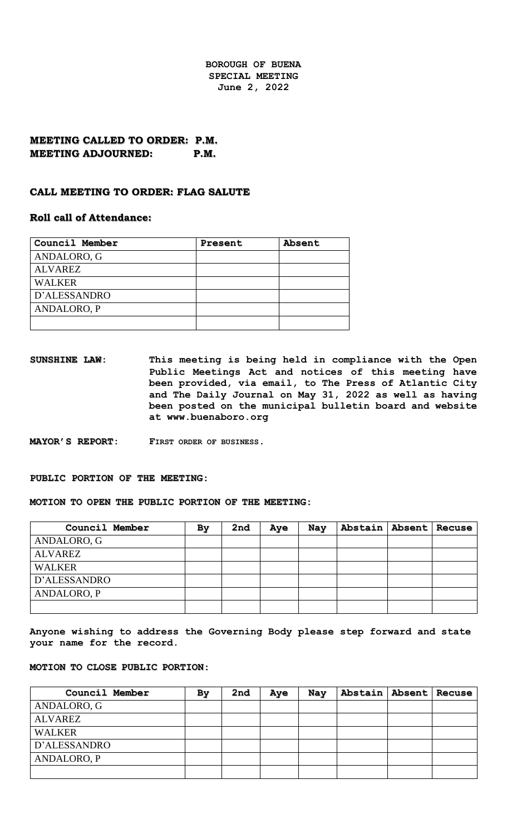**BOROUGH OF BUENA SPECIAL MEETING June 2, 2022**

## **MEETING CALLED TO ORDER: P.M. MEETING ADJOURNED: P.M.**

#### **CALL MEETING TO ORDER: FLAG SALUTE**

### **Roll call of Attendance:**

| Council Member | Present | Absent |
|----------------|---------|--------|
| ANDALORO, G    |         |        |
| <b>ALVAREZ</b> |         |        |
| <b>WALKER</b>  |         |        |
| D'ALESSANDRO   |         |        |
| ANDALORO, P    |         |        |
|                |         |        |

**SUNSHINE LAW: This meeting is being held in compliance with the Open Public Meetings Act and notices of this meeting have been provided, via email, to The Press of Atlantic City and The Daily Journal on May 31, 2022 as well as having been posted on the municipal bulletin board and website at www.buenaboro.org**

**MAYOR'S REPORT: FIRST ORDER OF BUSINESS.**

#### **PUBLIC PORTION OF THE MEETING:**

**MOTION TO OPEN THE PUBLIC PORTION OF THE MEETING:**

| Council Member | By | 2nd | Aye | Nay | Abstain   Absent   Recuse |  |
|----------------|----|-----|-----|-----|---------------------------|--|
| ANDALORO, G    |    |     |     |     |                           |  |
| <b>ALVAREZ</b> |    |     |     |     |                           |  |
| <b>WALKER</b>  |    |     |     |     |                           |  |
| D'ALESSANDRO   |    |     |     |     |                           |  |
| ANDALORO, P    |    |     |     |     |                           |  |
|                |    |     |     |     |                           |  |

**Anyone wishing to address the Governing Body please step forward and state your name for the record.**

#### **MOTION TO CLOSE PUBLIC PORTION:**

| Council Member | By | 2nd | Aye | Nay | Abstain   Absent   Recuse |  |
|----------------|----|-----|-----|-----|---------------------------|--|
| ANDALORO, G    |    |     |     |     |                           |  |
| <b>ALVAREZ</b> |    |     |     |     |                           |  |
| <b>WALKER</b>  |    |     |     |     |                           |  |
| D'ALESSANDRO   |    |     |     |     |                           |  |
| ANDALORO, P    |    |     |     |     |                           |  |
|                |    |     |     |     |                           |  |